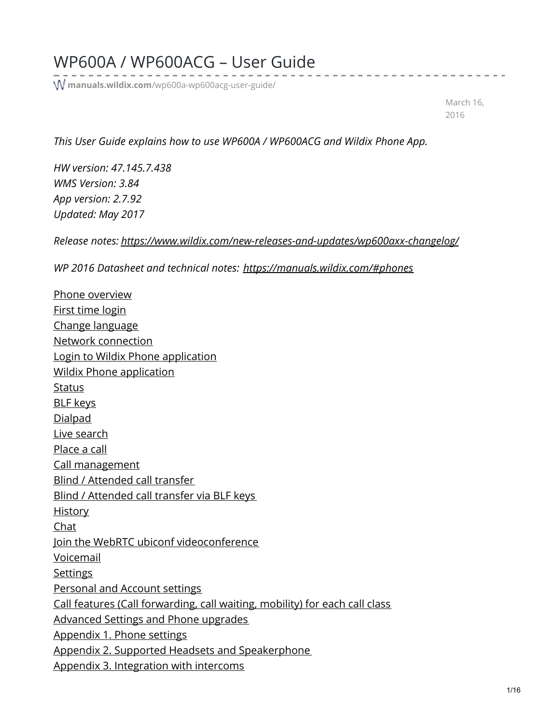## WP600A / WP600ACG – User Guide

**manuals.wildix.com**[/wp600a-wp600acg-user-guide/](https://manuals.wildix.com/wp600a-wp600acg-user-guide/)

March 16, 2016

*This User Guide explains how to use WP600A / WP600ACG and Wildix Phone App.*

*HW version: 47.145.7.438 WMS Version: 3.84 App version: 2.7.92 Updated: May 2017*

*Release notes: <https://www.wildix.com/new-releases-and-updates/wp600axx-changelog/>*

*WP 2016 Datasheet and technical notes: <https://manuals.wildix.com/#phones>*

Phone [overview](https://manuals.wildix.com/wp600a-wp600acg-user-guide/#post-36405-_q24ciuvoa20q) First time [login](https://manuals.wildix.com/wp600a-wp600acg-user-guide/#post-36405-_40fgixcnp2hk) Change [language](https://manuals.wildix.com/wp600a-wp600acg-user-guide/#post-36405-_ccxqqhjonbfl) Network [connection](https://manuals.wildix.com/wp600a-wp600acg-user-guide/#post-36405-_do6pbfz1o24t) Login to Wildix Phone [application](https://manuals.wildix.com/wp600a-wp600acg-user-guide/#post-36405-_9g5zryzdxhcs) Wildix Phone [application](https://manuals.wildix.com/wp600a-wp600acg-user-guide/#post-36405-_wm7bbsabdkwx) **[Status](https://manuals.wildix.com/wp600a-wp600acg-user-guide/#post-36405-_ysxe24a2xuy)** BLF [keys](https://manuals.wildix.com/wp600a-wp600acg-user-guide/#post-36405-_s6287u4ocluj) [Dialpad](https://manuals.wildix.com/wp600a-wp600acg-user-guide/#post-36405-_62bznw8l1tzo) Live [search](https://manuals.wildix.com/wp600a-wp600acg-user-guide/#post-36405-_nn54rifuy3ha) [Place](https://manuals.wildix.com/wp600a-wp600acg-user-guide/#post-36405-_n1vbqkxynta) a call Call [management](https://manuals.wildix.com/wp600a-wp600acg-user-guide/#post-36405-_valctrank8im) Blind / [Attended](https://manuals.wildix.com/wp600a-wp600acg-user-guide/#post-36405-_angal2d9h196) call transfer Blind / [Attended](https://manuals.wildix.com/wp600a-wp600acg-user-guide/#post-36405-_ffzqvma4zsxj) call transfer via BLF keys **[History](https://manuals.wildix.com/wp600a-wp600acg-user-guide/#post-36405-_tyxqh142p5ti)** [Chat](https://manuals.wildix.com/wp600a-wp600acg-user-guide/#post-36405-_1h9nado6y0ur) Join the WebRTC ubiconf [videoconference](https://manuals.wildix.com/wp600a-wp600acg-user-guide/#post-36405-_f3gm972lubyn) [Voicemail](https://manuals.wildix.com/wp600a-wp600acg-user-guide/#post-36405-_sjgmr8edp8qs) **[Settings](https://manuals.wildix.com/wp600a-wp600acg-user-guide/#post-36405-_t7mqcs2hz9gm)** [Personal](https://manuals.wildix.com/wp600a-wp600acg-user-guide/#post-36405-_h41ul0tvhm3a) and Account settings Call features (Call [forwarding,](https://manuals.wildix.com/wp600a-wp600acg-user-guide/#post-36405-_thbv9ptnlqqd) call waiting, mobility) for each call class [Advanced](https://manuals.wildix.com/wp600a-wp600acg-user-guide/#post-36405-_9hzbmvkd9keo) Settings and Phone upgrades [Appendix](https://manuals.wildix.com/wp600a-wp600acg-user-guide/#post-36405-_edmodp6ow4os) 1. Phone settings Appendix 2. Supported Headsets and [Speakerphone](https://manuals.wildix.com/wp600a-wp600acg-user-guide/#post-36405-_kwvoyr3hf6ln) Appendix 3. [Integration](https://manuals.wildix.com/wp600a-wp600acg-user-guide/#post-36405-_bdaukljkkm78) with intercoms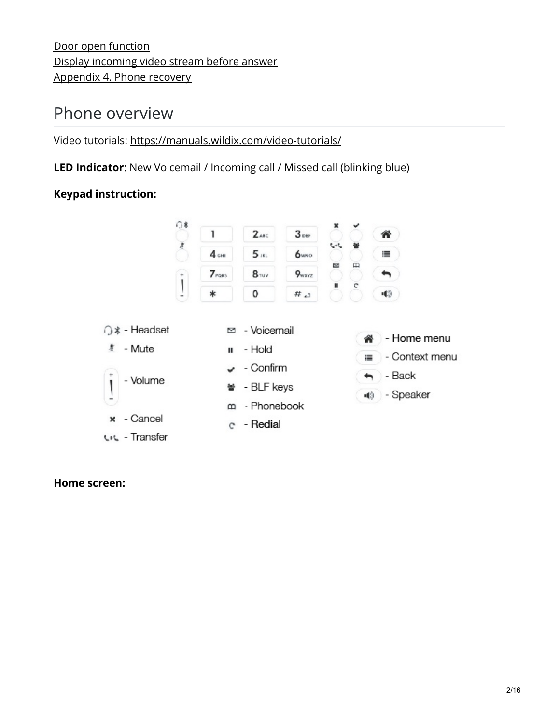Door open [function](https://manuals.wildix.com/wp600a-wp600acg-user-guide/#post-36405-_67d3juq0vunh) Display [incoming](https://manuals.wildix.com/wp600a-wp600acg-user-guide/#post-36405-_5s7qe2ehgp0g) video stream before answer [Appendix](https://manuals.wildix.com/wp600a-wp600acg-user-guide/#post-36405-_qy8qllp6yg1z) 4. Phone recovery

## Phone overview

Video tutorials: [https://manuals.wildix.com/video-tutorials/](https://manuals.wildix.com/?page_id=3298)

**LED Indicator**: New Voicemail / Incoming call / Missed call (blinking blue)

### **Keypad instruction:**



#### **Home screen:**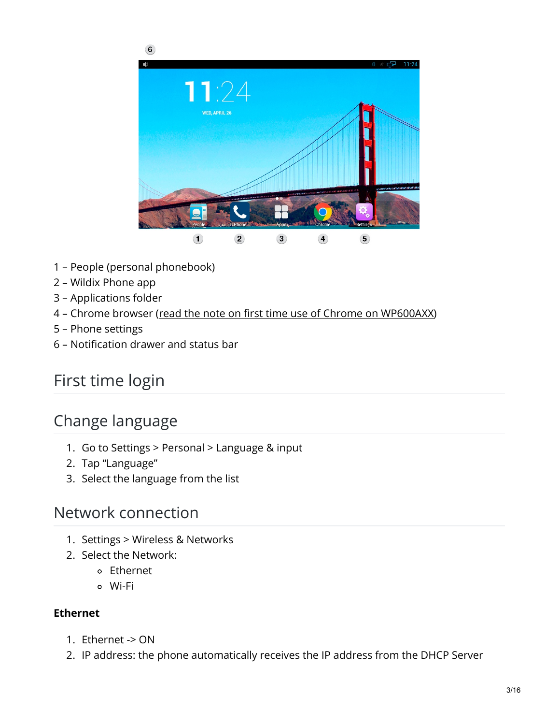

- 1 People (personal phonebook)
- 2 Wildix Phone app
- 3 Applications folder
- 4 Chrome browser (read the note on first time use of Chrome on [WP600AXX](https://manuals.wildix.com/first-time-use-of-chrome-on-wp600axx-technical-note/))
- 5 Phone settings
- 6 Notification drawer and status bar

# First time login

## Change language

- 1. Go to Settings > Personal > Language & input
- 2. Tap "Language"
- 3. Select the language from the list

### Network connection

- 1. Settings > Wireless & Networks
- 2. Select the Network:
	- Ethernet
		- Wi-Fi

#### **Ethernet**

- 1. Ethernet -> ON
- 2. IP address: the phone automatically receives the IP address from the DHCP Server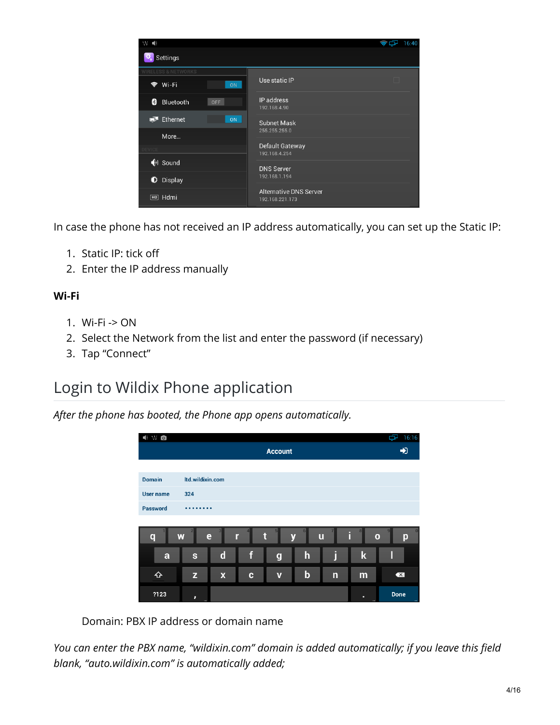

In case the phone has not received an IP address automatically, you can set up the Static IP:

- 1. Static IP: tick off
- 2. Enter the IP address manually

#### **Wi-Fi**

- 1. Wi-Fi -> ON
- 2. Select the Network from the list and enter the password (if necessary)
- 3. Tap "Connect"

## Login to Wildix Phone application

*After the phone has booted, the Phone app opens automatically.*

| $\bullet$ WO     |                    |                           |   |                         |             |                |                   | Ъ<br>16:16                       |  |  |
|------------------|--------------------|---------------------------|---|-------------------------|-------------|----------------|-------------------|----------------------------------|--|--|
|                  | <b>Account</b>     |                           |   |                         |             |                |                   |                                  |  |  |
|                  |                    |                           |   |                         |             |                |                   |                                  |  |  |
| <b>Domain</b>    | Itd.wildixin.com   |                           |   |                         |             |                |                   |                                  |  |  |
| <b>User name</b> | 324                |                           |   |                         |             |                |                   |                                  |  |  |
| <b>Password</b>  | $\bullet$          |                           |   |                         |             |                |                   |                                  |  |  |
|                  |                    |                           |   |                         |             |                |                   |                                  |  |  |
| $\mathbf q$      | W                  | e                         | r | t                       | 6<br>y      | $\mathbf u$    | i<br>$\mathbf{o}$ | p                                |  |  |
| a                | $\mathbf{s}$       | $\mathbf d$               | f | $\boldsymbol{g}$        | $\mathbf h$ | j              | $\mathbf k$       | П                                |  |  |
| ⇧                | $\mathbf{Z}% _{0}$ | $\boldsymbol{\mathsf{x}}$ | C | $\overline{\mathbf{v}}$ | $\mathbf b$ | $\overline{n}$ | m                 | $\overline{\mathbf{X}}$          |  |  |
| ?123             | ,<br>$\cdots$      |                           |   |                         |             |                | п<br>$\sim$       | Done<br>$\overline{\phantom{a}}$ |  |  |

Domain: PBX IP address or domain name

*You can enter the PBX name, "wildixin.com" domain is added automatically; if you leave this field blank, "auto.wildixin.com" is automatically added;*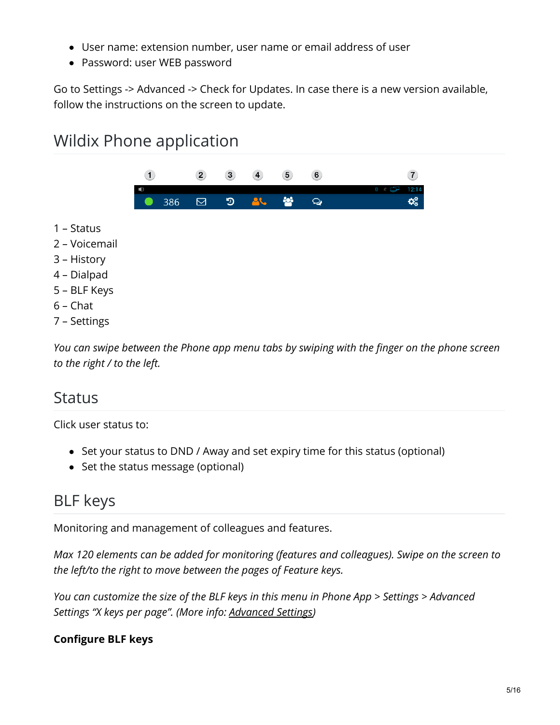- User name: extension number, user name or email address of user
- Password: user WEB password

Go to Settings -> Advanced -> Check for Updates. In case there is a new version available, follow the instructions on the screen to update.

# Wildix Phone application



- 1 Status
- 2 Voicemail
- 3 History
- 4 Dialpad
- 5 BLF Keys
- 6 Chat
- 7 Settings

*You can swipe between the Phone app menu tabs by swiping with the finger on the phone screen to the right / to the left.*

### Status

Click user status to:

- Set your status to DND / Away and set expiry time for this status (optional)
- Set the status message (optional)

## BLF keys

Monitoring and management of colleagues and features.

*Max 120 elements can be added for monitoring (features and colleagues). Swipe on the screen to the left/to the right to move between the pages of Feature keys.*

*You can customize the size of the BLF keys in this menu in Phone App > Settings > Advanced Settings "X keys per page". (More info: [Advanced](https://manuals.wildix.com/wp600a-wp600acg-user-guide/#post-36405-_9hzbmvkd9keo) Settings)*

### **Configure BLF keys**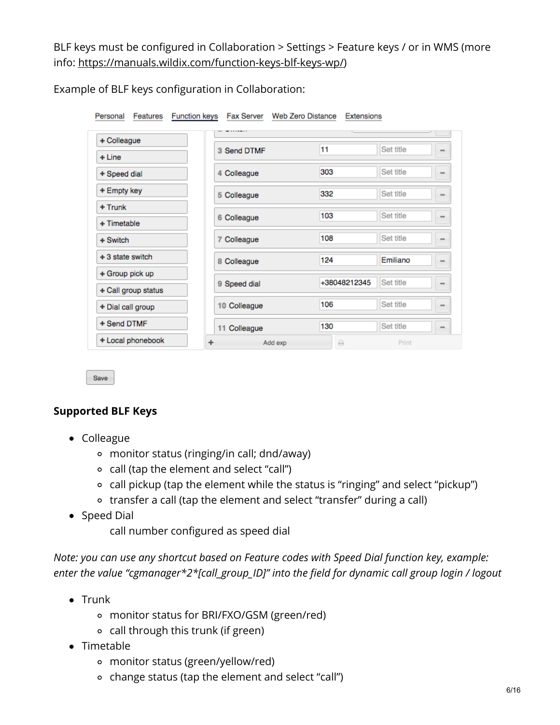BLF keys must be configured in Collaboration > Settings > Feature keys / or in WMS (more info: <https://manuals.wildix.com/function-keys-blf-keys-wp/>)

| <b>Function keys</b><br>Personal<br><b>Features</b> | Fax Server Web Zero Distance | Extensions           |           |                              |
|-----------------------------------------------------|------------------------------|----------------------|-----------|------------------------------|
| + Colleague                                         | 3 Send DTMF                  | 11                   | Set title |                              |
| + Line                                              |                              |                      |           |                              |
| + Speed dial                                        | 4 Colleague                  | 303                  | Set title |                              |
| + Empty key                                         | 5 Colleague                  | 332                  | Set title |                              |
| + Trunk                                             |                              | 103                  | Set title |                              |
| + Timetable                                         | 6 Colleague                  |                      |           | -                            |
| $+$ Switch                                          | 7 Colleague                  | 108                  | Set title | $\qquad \qquad \blacksquare$ |
| $+3$ state switch                                   | 8 Colleague                  | 124                  | Emiliano  |                              |
| + Group pick up                                     |                              |                      |           |                              |
| + Call group status                                 | 9 Speed dial                 | +38048212345         | Set title |                              |
| + Dial call group                                   | 10 Colleague                 | 106                  | Set title | -                            |
| + Send DTMF                                         | 11 Colleague                 | 130                  | Set title |                              |
| + Local phonebook                                   | Add exp<br>۰                 | $\qquad \qquad \Box$ | Print     |                              |

Example of BLF keys configuration in Collaboration:

Save

#### **Supported BLF Keys**

- Colleague
	- monitor status (ringing/in call; dnd/away)
	- call (tap the element and select "call")
	- call pickup (tap the element while the status is "ringing" and select "pickup")
	- transfer a call (tap the element and select "transfer" during a call)
- Speed Dial
	- call number configured as speed dial

*Note: you can use any shortcut based on Feature codes with Speed Dial function key, example: enter the value "cgmanager\*2\*[call\_group\_ID]" into the field for dynamic call group login / logout*

- $\bullet$  Trunk
	- monitor status for BRI/FXO/GSM (green/red)
	- call through this trunk (if green)
- Timetable
	- monitor status (green/yellow/red)
	- change status (tap the element and select "call")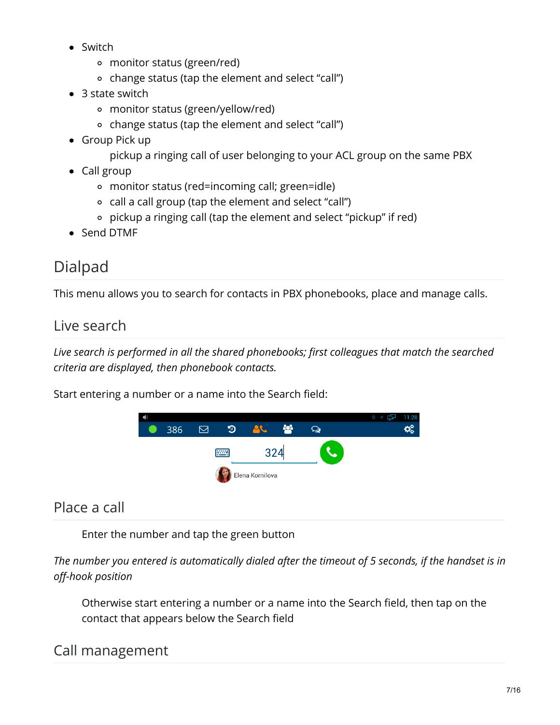- Switch
	- monitor status (green/red)
	- change status (tap the element and select "call")
- 3 state switch
	- monitor status (green/yellow/red)
	- change status (tap the element and select "call")
- Group Pick up
	- pickup a ringing call of user belonging to your ACL group on the same PBX
- Call group
	- monitor status (red=incoming call; green=idle)
	- call a call group (tap the element and select "call")
	- pickup a ringing call (tap the element and select "pickup" if red)
- Send DTMF

# Dialpad

This menu allows you to search for contacts in PBX phonebooks, place and manage calls.

### Live search

*Live search is performed in all the shared phonebooks; first colleagues that match the searched criteria are displayed, then phonebook contacts.*

Start entering a number or a name into the Search field:



### Place a call

Enter the number and tap the green button

The number you entered is automatically dialed after the timeout of 5 seconds, if the handset is in *off-hook position*

Otherwise start entering a number or a name into the Search field, then tap on the contact that appears below the Search field

### Call management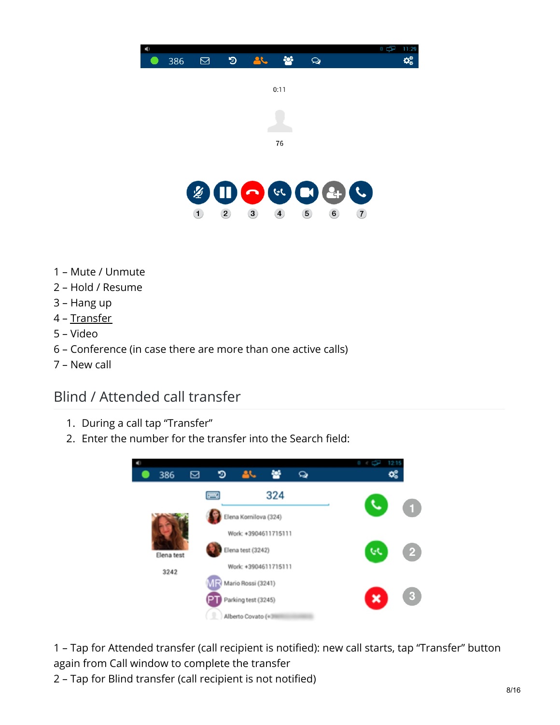

- Mute / Unmute
- Hold / Resume
- Hang up
- [Transfer](https://manuals.wildix.com/wp600a-wp600acg-user-guide/#post-36405-_angal2d9h196)
- Video
- Conference (in case there are more than one active calls)
- New call

### Blind / Attended call transfer

- 1. During a call tap "Transfer"
- 2. Enter the number for the transfer into the Search field:



 – Tap for Attended transfer (call recipient is notified): new call starts, tap "Transfer" button again from Call window to complete the transfer

– Tap for Blind transfer (call recipient is not notified)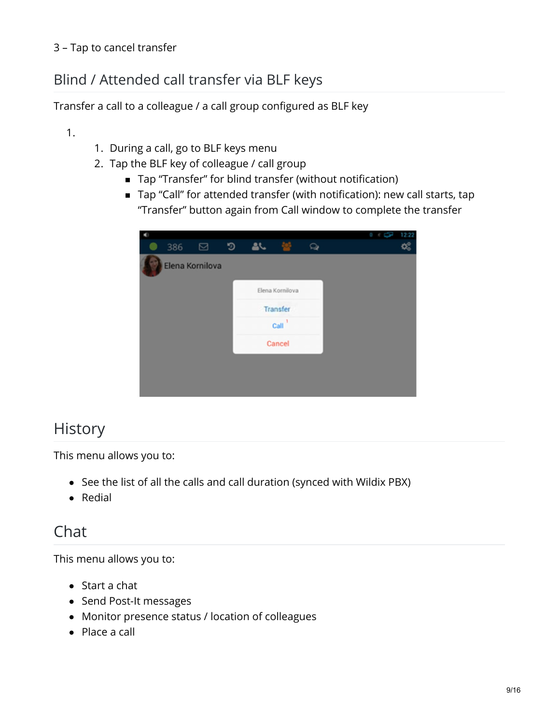## Blind / Attended call transfer via BLF keys

Transfer a call to a colleague / a call group configured as BLF key

### 1.

- 1. During a call, go to BLF keys menu
- 2. Tap the BLF key of colleague / call group
	- Tap "Transfer" for blind transfer (without notification)
	- Tap "Call" for attended transfer (with notification): new call starts, tap "Transfer" button again from Call window to complete the transfer

|     |                 |   |           |                 |  |  |  | 12:22 |
|-----|-----------------|---|-----------|-----------------|--|--|--|-------|
| 386 | ⊠               | ෟ | <b>AL</b> |                 |  |  |  |       |
|     | Elena Kornilova |   |           |                 |  |  |  |       |
|     |                 |   |           | Elena Kornilova |  |  |  |       |
|     |                 |   | Transfer  |                 |  |  |  |       |
|     |                 |   | Call      |                 |  |  |  |       |
|     |                 |   |           | Cancel          |  |  |  |       |
|     |                 |   |           |                 |  |  |  |       |
|     |                 |   |           |                 |  |  |  |       |
|     |                 |   |           |                 |  |  |  |       |

## **History**

This menu allows you to:

- See the list of all the calls and call duration (synced with Wildix PBX)
- Redial

## Chat

This menu allows you to:

- Start a chat
- Send Post-It messages
- Monitor presence status / location of colleagues
- Place a call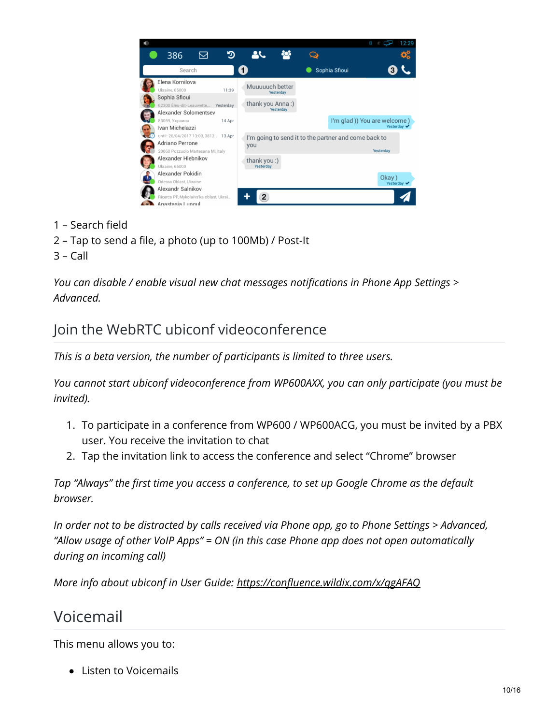

- 1 Search field
- 2 Tap to send a file, a photo (up to 100Mb) / Post-It
- 3 Call

*You can disable / enable visual new chat messages notifications in Phone App Settings > Advanced.*

### Join the WebRTC ubiconf videoconference

*This is a beta version, the number of participants is limited to three users.*

*You cannot start ubiconf videoconference from WP600AXX, you can only participate (you must be invited).*

- 1. To participate in a conference from WP600 / WP600ACG, you must be invited by a PBX user. You receive the invitation to chat
- 2. Tap the invitation link to access the conference and select "Chrome" browser

*Tap "Always" the first time you access a conference, to set up Google Chrome as the default browser.*

*In order not to be distracted by calls received via Phone app, go to Phone Settings > Advanced, "Allow usage of other VoIP Apps" = ON (in this case Phone app does not open automatically during an incoming call)*

*More info about ubiconf in User Guide: <https://confluence.wildix.com/x/qgAFAQ>*

### Voicemail

This menu allows you to:

• Listen to Voicemails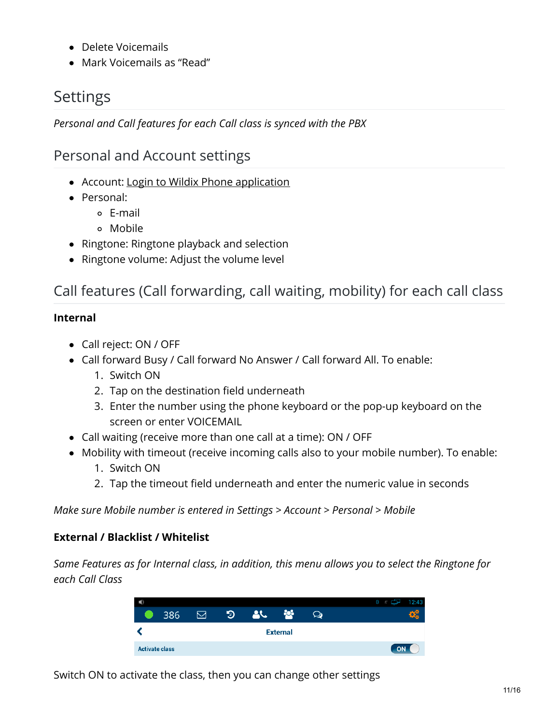- Delete Voicemails
- Mark Voicemails as "Read"

# Settings

*Personal and Call features for each Call class is synced with the PBX*

### Personal and Account settings

- Account: Login to Wildix Phone [application](https://manuals.wildix.com/wp600a-wp600acg-user-guide/#post-36405-_6co82tvwp182)
- Personal:
	- E-mail
	- Mobile
- Ringtone: Ringtone playback and selection
- Ringtone volume: Adjust the volume level

## Call features (Call forwarding, call waiting, mobility) for each call class

### **Internal**

- Call reject: ON / OFF
- Call forward Busy / Call forward No Answer / Call forward All. To enable:
	- 1. Switch ON
	- 2. Tap on the destination field underneath
	- 3. Enter the number using the phone keyboard or the pop-up keyboard on the screen or enter VOICEMAIL
- Call waiting (receive more than one call at a time): ON / OFF
- Mobility with timeout (receive incoming calls also to your mobile number). To enable:
	- 1. Switch ON
	- 2. Tap the timeout field underneath and enter the numeric value in seconds

*Make sure Mobile number is entered in Settings > Account > Personal > Mobile*

### **External / Blacklist / Whitelist**

*Same Features as for Internal class, in addition, this menu allows you to select the Ringtone for each Call Class*

| 响                     |   |   |  |  |  | a  | (43) |
|-----------------------|---|---|--|--|--|----|------|
| 386                   | 罓 | ৩ |  |  |  |    | 98   |
| <b>External</b>       |   |   |  |  |  |    |      |
| <b>Activate class</b> |   |   |  |  |  | ON |      |

Switch ON to activate the class, then you can change other settings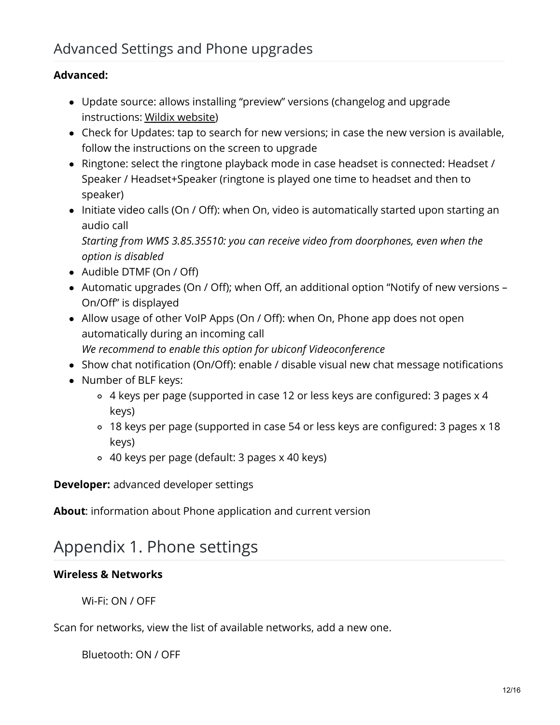#### **Advanced:**

- Update source: allows installing "preview" versions (changelog and upgrade instructions: Wildix [website](https://www.wildix.com/new-releases-and-updates/wp600axx-changelog/))
- Check for Updates: tap to search for new versions; in case the new version is available, follow the instructions on the screen to upgrade
- Ringtone: select the ringtone playback mode in case headset is connected: Headset / Speaker / Headset+Speaker (ringtone is played one time to headset and then to speaker)
- Initiate video calls (On / Off): when On, video is automatically started upon starting an audio call

*Starting from WMS 3.85.35510: you can receive video from doorphones, even when the option is disabled*

- Audible DTMF (On / Off)
- Automatic upgrades (On / Off); when Off, an additional option "Notify of new versions On/Off" is displayed
- Allow usage of other VoIP Apps (On / Off): when On, Phone app does not open automatically during an incoming call *We recommend to enable this option for ubiconf Videoconference*
- Show chat notification (On/Off): enable / disable visual new chat message notifications
- Number of BLF keys:
	- 4 keys per page (supported in case 12 or less keys are configured: 3 pages x 4 keys)
	- 18 keys per page (supported in case 54 or less keys are configured: 3 pages x 18 keys)
	- 40 keys per page (default: 3 pages x 40 keys)

**Developer:** advanced developer settings

**About**: information about Phone application and current version

## Appendix 1. Phone settings

#### **Wireless & Networks**

Wi-Fi: ON / OFF

Scan for networks, view the list of available networks, add a new one.

Bluetooth: ON / OFF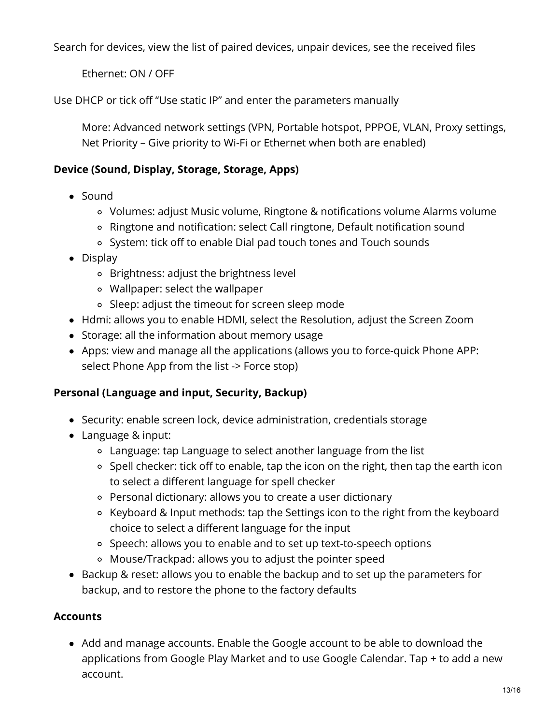Search for devices, view the list of paired devices, unpair devices, see the received files

Ethernet: ON / OFF

Use DHCP or tick off "Use static IP" and enter the parameters manually

More: Advanced network settings (VPN, Portable hotspot, PPPOE, VLAN, Proxy settings, Net Priority – Give priority to Wi-Fi or Ethernet when both are enabled)

#### **Device (Sound, Display, Storage, Storage, Apps)**

- Sound
	- Volumes: adjust Music volume, Ringtone & notifications volume Alarms volume
	- Ringtone and notification: select Call ringtone, Default notification sound
	- System: tick off to enable Dial pad touch tones and Touch sounds
- Display
	- Brightness: adjust the brightness level
	- Wallpaper: select the wallpaper
	- Sleep: adjust the timeout for screen sleep mode
- Hdmi: allows you to enable HDMI, select the Resolution, adjust the Screen Zoom
- Storage: all the information about memory usage
- Apps: view and manage all the applications (allows you to force-quick Phone APP: select Phone App from the list -> Force stop)

#### **Personal (Language and input, Security, Backup)**

- Security: enable screen lock, device administration, credentials storage
- Language & input:
	- Language: tap Language to select another language from the list
	- o Spell checker: tick off to enable, tap the icon on the right, then tap the earth icon to select a different language for spell checker
	- Personal dictionary: allows you to create a user dictionary
	- Keyboard & Input methods: tap the Settings icon to the right from the keyboard choice to select a different language for the input
	- o Speech: allows you to enable and to set up text-to-speech options
	- Mouse/Trackpad: allows you to adjust the pointer speed
- Backup & reset: allows you to enable the backup and to set up the parameters for backup, and to restore the phone to the factory defaults

### **Accounts**

Add and manage accounts. Enable the Google account to be able to download the applications from Google Play Market and to use Google Calendar. Tap + to add a new account.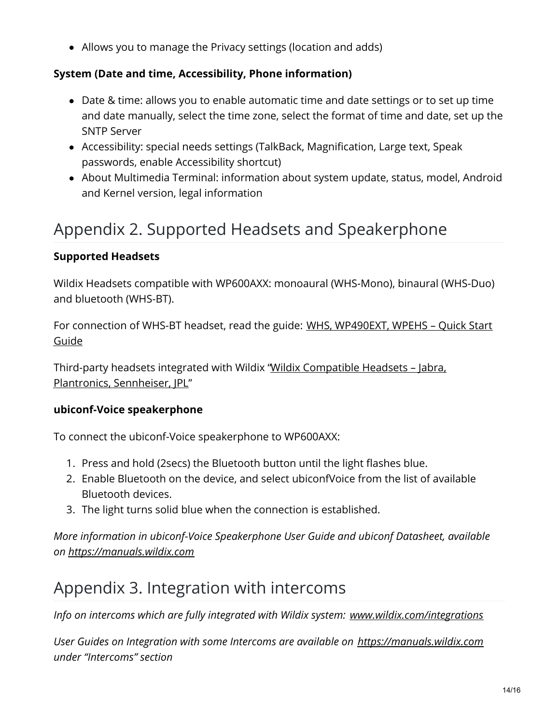Allows you to manage the Privacy settings (location and adds)

### **System (Date and time, Accessibility, Phone information)**

- Date & time: allows you to enable automatic time and date settings or to set up time and date manually, select the time zone, select the format of time and date, set up the SNTP Server
- Accessibility: special needs settings (TalkBack, Magnification, Large text, Speak passwords, enable Accessibility shortcut)
- About Multimedia Terminal: information about system update, status, model, Android and Kernel version, legal information

# Appendix 2. Supported Headsets and Speakerphone

### **Supported Headsets**

Wildix Headsets compatible with WP600AXX: monoaural (WHS-Mono), binaural (WHS-Duo) and bluetooth (WHS-BT).

For connection of WHS-BT headset, read the guide: WHS, [WP490EXT,](https://manuals.wildix.com/?page_id=8202) WPEHS – Quick Start Guide

Third-party headsets integrated with Wildix "Wildix Compatible Headsets – Jabra, Plantronics, [Sennheiser,](https://manuals.wildix.com/?page_id=5405) JPL"

### **ubiconf-Voice speakerphone**

To connect the ubiconf-Voice speakerphone to WP600AXX:

- 1. Press and hold (2secs) the Bluetooth button until the light flashes blue.
- 2. Enable Bluetooth on the device, and select ubiconfVoice from the list of available Bluetooth devices.
- 3. The light turns solid blue when the connection is established.

*More information in ubiconf-Voice Speakerphone User Guide and ubiconf Datasheet, available on [https://manuals.wildix.com](https://manuals.wildix.com/)*

# Appendix 3. Integration with intercoms

*Info on intercoms which are fully integrated with Wildix system: [www.wildix.com/integrations](http://www.wildix.com/integrations)*

*User Guides on Integration with some Intercoms are available on [https://manuals.wildix.com](https://manuals.wildix.com/) under "Intercoms" section*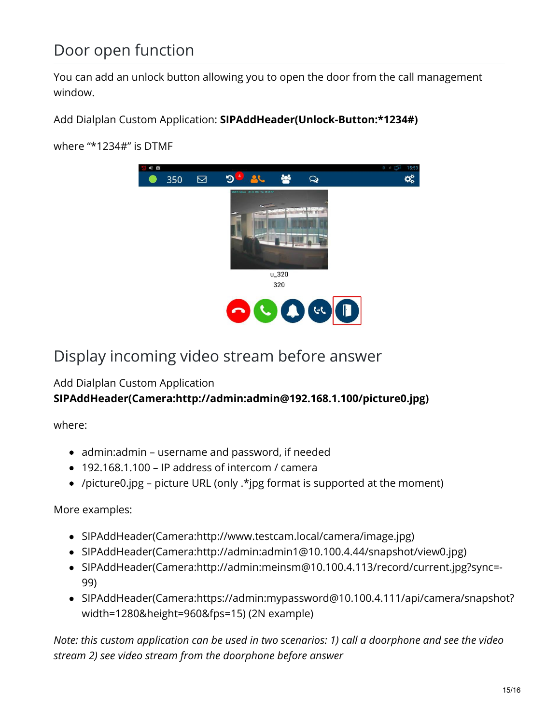## Door open function

You can add an unlock button allowing you to open the door from the call management window.

Add Dialplan Custom Application: **SIPAddHeader(Unlock-Button:\*1234#)**

where "\*1234#" is DTMF



## Display incoming video stream before answer

#### Add Dialplan Custom Application **SIPAddHeader(Camera:http://admin:admin@192.168.1.100/picture0.jpg)**

where:

- admin:admin username and password, if needed
- 192.168.1.100 IP address of intercom / camera
- /picture0.jpg picture URL (only .\*jpg format is supported at the moment)

More examples:

- SIPAddHeader(Camera:http://www.testcam.local/camera/image.jpg)
- SIPAddHeader(Camera:http://admin:admin1@10.100.4.44/snapshot/view0.jpg)
- SIPAddHeader(Camera:http://admin:meinsm@10.100.4.113/record/current.jpg?sync=- 99)
- SIPAddHeader(Camera:https://admin:mypassword@10.100.4.111/api/camera/snapshot? width=1280&height=960&fps=15) (2N example)

*Note: this custom application can be used in two scenarios: 1) call a doorphone and see the video stream 2) see video stream from the doorphone before answer*